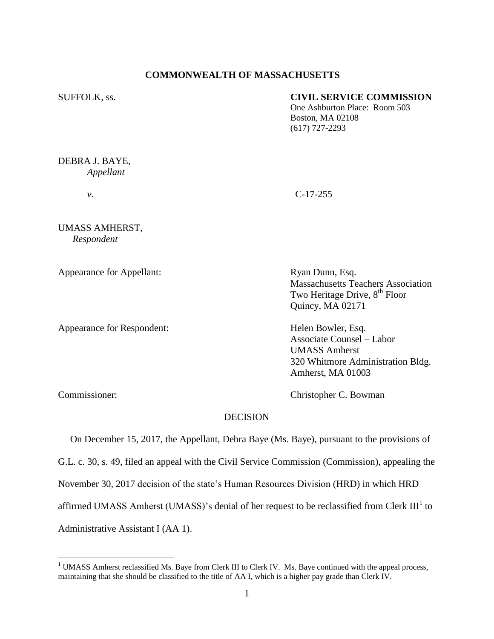# **COMMONWEALTH OF MASSACHUSETTS**

## SUFFOLK, ss. **CIVIL SERVICE COMMISSION**

One Ashburton Place: Room 503 Boston, MA 02108 (617) 727-2293

DEBRA J. BAYE, *Appellant*

*v.* C-17-255

UMASS AMHERST, *Respondent*

Appearance for Appellant: Ryan Dunn, Esq.

Appearance for Respondent: Helen Bowler, Esq.

Massachusetts Teachers Association Two Heritage Drive, 8<sup>th</sup> Floor Quincy, MA 02171

Associate Counsel – Labor UMASS Amherst 320 Whitmore Administration Bldg. Amherst, MA 01003

 $\overline{a}$ 

Commissioner: Christopher C. Bowman

## **DECISION**

 On December 15, 2017, the Appellant, Debra Baye (Ms. Baye), pursuant to the provisions of G.L. c. 30, s. 49, filed an appeal with the Civil Service Commission (Commission), appealing the November 30, 2017 decision of the state's Human Resources Division (HRD) in which HRD affirmed UMASS Amherst (UMASS)'s denial of her request to be reclassified from Clerk III<sup>1</sup> to Administrative Assistant I (AA 1).

<sup>&</sup>lt;sup>1</sup> UMASS Amherst reclassified Ms. Baye from Clerk III to Clerk IV. Ms. Baye continued with the appeal process, maintaining that she should be classified to the title of AA I, which is a higher pay grade than Clerk IV.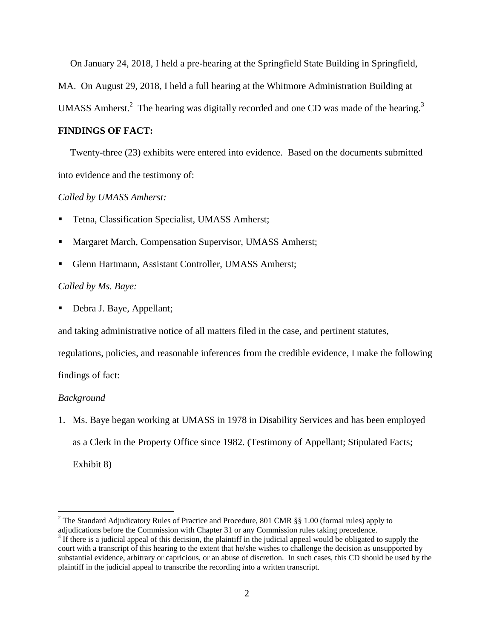On January 24, 2018, I held a pre-hearing at the Springfield State Building in Springfield,

MA. On August 29, 2018, I held a full hearing at the Whitmore Administration Building at

UMASS Amherst.<sup>2</sup> The hearing was digitally recorded and one CD was made of the hearing.<sup>3</sup>

## **FINDINGS OF FACT:**

 Twenty-three (23) exhibits were entered into evidence. Based on the documents submitted into evidence and the testimony of:

## *Called by UMASS Amherst:*

- Tetna, Classification Specialist, UMASS Amherst;
- Margaret March, Compensation Supervisor, UMASS Amherst;
- Glenn Hartmann, Assistant Controller, UMASS Amherst;

## *Called by Ms. Baye:*

Debra J. Baye, Appellant;

and taking administrative notice of all matters filed in the case, and pertinent statutes,

regulations, policies, and reasonable inferences from the credible evidence, I make the following

findings of fact:

#### *Background*

 $\overline{a}$ 

1. Ms. Baye began working at UMASS in 1978 in Disability Services and has been employed as a Clerk in the Property Office since 1982. (Testimony of Appellant; Stipulated Facts; Exhibit 8)

<sup>&</sup>lt;sup>2</sup> The Standard Adjudicatory Rules of Practice and Procedure, 801 CMR §§ 1.00 (formal rules) apply to adjudications before the Commission with Chapter 31 or any Commission rules taking precedence.

 $3 \text{ If there is a judicial appeal of this decision, the plaintiff in the judicial appeal would be obligeded to supply the$ court with a transcript of this hearing to the extent that he/she wishes to challenge the decision as unsupported by substantial evidence, arbitrary or capricious, or an abuse of discretion. In such cases, this CD should be used by the plaintiff in the judicial appeal to transcribe the recording into a written transcript.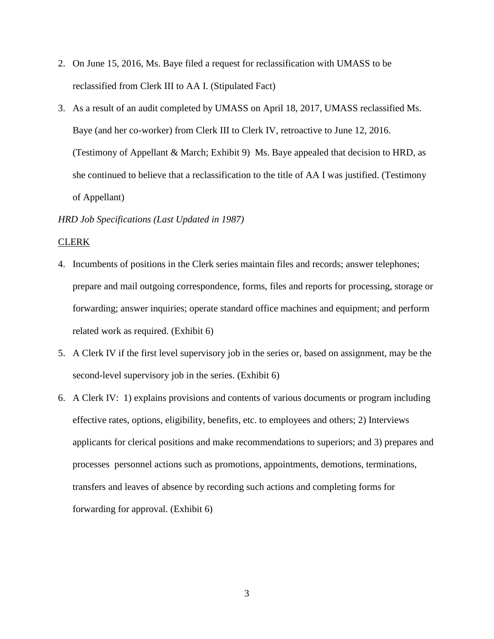- 2. On June 15, 2016, Ms. Baye filed a request for reclassification with UMASS to be reclassified from Clerk III to AA I. (Stipulated Fact)
- 3. As a result of an audit completed by UMASS on April 18, 2017, UMASS reclassified Ms. Baye (and her co-worker) from Clerk III to Clerk IV, retroactive to June 12, 2016. (Testimony of Appellant & March; Exhibit 9) Ms. Baye appealed that decision to HRD, as she continued to believe that a reclassification to the title of AA I was justified. (Testimony of Appellant)

## *HRD Job Specifications (Last Updated in 1987)*

### CLERK

- 4. Incumbents of positions in the Clerk series maintain files and records; answer telephones; prepare and mail outgoing correspondence, forms, files and reports for processing, storage or forwarding; answer inquiries; operate standard office machines and equipment; and perform related work as required. (Exhibit 6)
- 5. A Clerk IV if the first level supervisory job in the series or, based on assignment, may be the second-level supervisory job in the series. (Exhibit 6)
- 6. A Clerk IV: 1) explains provisions and contents of various documents or program including effective rates, options, eligibility, benefits, etc. to employees and others; 2) Interviews applicants for clerical positions and make recommendations to superiors; and 3) prepares and processes personnel actions such as promotions, appointments, demotions, terminations, transfers and leaves of absence by recording such actions and completing forms for forwarding for approval. (Exhibit 6)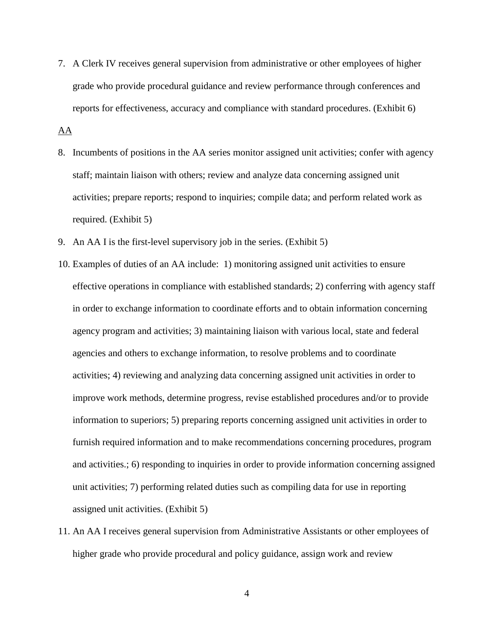7. A Clerk IV receives general supervision from administrative or other employees of higher grade who provide procedural guidance and review performance through conferences and reports for effectiveness, accuracy and compliance with standard procedures. (Exhibit 6)

AA

- 8. Incumbents of positions in the AA series monitor assigned unit activities; confer with agency staff; maintain liaison with others; review and analyze data concerning assigned unit activities; prepare reports; respond to inquiries; compile data; and perform related work as required. (Exhibit 5)
- 9. An AA I is the first-level supervisory job in the series. (Exhibit 5)
- 10. Examples of duties of an AA include: 1) monitoring assigned unit activities to ensure effective operations in compliance with established standards; 2) conferring with agency staff in order to exchange information to coordinate efforts and to obtain information concerning agency program and activities; 3) maintaining liaison with various local, state and federal agencies and others to exchange information, to resolve problems and to coordinate activities; 4) reviewing and analyzing data concerning assigned unit activities in order to improve work methods, determine progress, revise established procedures and/or to provide information to superiors; 5) preparing reports concerning assigned unit activities in order to furnish required information and to make recommendations concerning procedures, program and activities.; 6) responding to inquiries in order to provide information concerning assigned unit activities; 7) performing related duties such as compiling data for use in reporting assigned unit activities. (Exhibit 5)
- 11. An AA I receives general supervision from Administrative Assistants or other employees of higher grade who provide procedural and policy guidance, assign work and review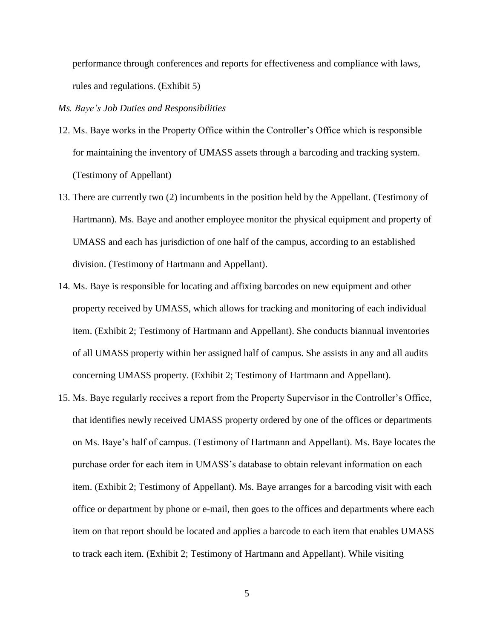performance through conferences and reports for effectiveness and compliance with laws, rules and regulations. (Exhibit 5)

## *Ms. Baye's Job Duties and Responsibilities*

- 12. Ms. Baye works in the Property Office within the Controller's Office which is responsible for maintaining the inventory of UMASS assets through a barcoding and tracking system. (Testimony of Appellant)
- 13. There are currently two (2) incumbents in the position held by the Appellant. (Testimony of Hartmann). Ms. Baye and another employee monitor the physical equipment and property of UMASS and each has jurisdiction of one half of the campus, according to an established division. (Testimony of Hartmann and Appellant).
- 14. Ms. Baye is responsible for locating and affixing barcodes on new equipment and other property received by UMASS, which allows for tracking and monitoring of each individual item. (Exhibit 2; Testimony of Hartmann and Appellant). She conducts biannual inventories of all UMASS property within her assigned half of campus. She assists in any and all audits concerning UMASS property. (Exhibit 2; Testimony of Hartmann and Appellant).
- 15. Ms. Baye regularly receives a report from the Property Supervisor in the Controller's Office, that identifies newly received UMASS property ordered by one of the offices or departments on Ms. Baye's half of campus. (Testimony of Hartmann and Appellant). Ms. Baye locates the purchase order for each item in UMASS's database to obtain relevant information on each item. (Exhibit 2; Testimony of Appellant). Ms. Baye arranges for a barcoding visit with each office or department by phone or e-mail, then goes to the offices and departments where each item on that report should be located and applies a barcode to each item that enables UMASS to track each item. (Exhibit 2; Testimony of Hartmann and Appellant). While visiting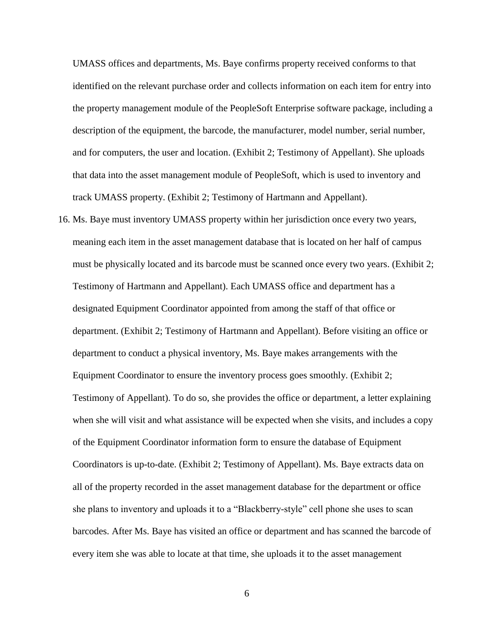UMASS offices and departments, Ms. Baye confirms property received conforms to that identified on the relevant purchase order and collects information on each item for entry into the property management module of the PeopleSoft Enterprise software package, including a description of the equipment, the barcode, the manufacturer, model number, serial number, and for computers, the user and location. (Exhibit 2; Testimony of Appellant). She uploads that data into the asset management module of PeopleSoft, which is used to inventory and track UMASS property. (Exhibit 2; Testimony of Hartmann and Appellant).

16. Ms. Baye must inventory UMASS property within her jurisdiction once every two years, meaning each item in the asset management database that is located on her half of campus must be physically located and its barcode must be scanned once every two years. (Exhibit 2; Testimony of Hartmann and Appellant). Each UMASS office and department has a designated Equipment Coordinator appointed from among the staff of that office or department. (Exhibit 2; Testimony of Hartmann and Appellant). Before visiting an office or department to conduct a physical inventory, Ms. Baye makes arrangements with the Equipment Coordinator to ensure the inventory process goes smoothly. (Exhibit 2; Testimony of Appellant). To do so, she provides the office or department, a letter explaining when she will visit and what assistance will be expected when she visits, and includes a copy of the Equipment Coordinator information form to ensure the database of Equipment Coordinators is up-to-date. (Exhibit 2; Testimony of Appellant). Ms. Baye extracts data on all of the property recorded in the asset management database for the department or office she plans to inventory and uploads it to a "Blackberry-style" cell phone she uses to scan barcodes. After Ms. Baye has visited an office or department and has scanned the barcode of every item she was able to locate at that time, she uploads it to the asset management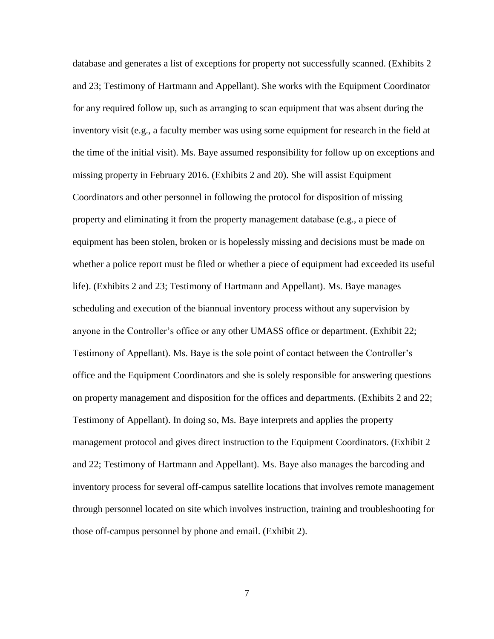database and generates a list of exceptions for property not successfully scanned. (Exhibits 2 and 23; Testimony of Hartmann and Appellant). She works with the Equipment Coordinator for any required follow up, such as arranging to scan equipment that was absent during the inventory visit (e.g., a faculty member was using some equipment for research in the field at the time of the initial visit). Ms. Baye assumed responsibility for follow up on exceptions and missing property in February 2016. (Exhibits 2 and 20). She will assist Equipment Coordinators and other personnel in following the protocol for disposition of missing property and eliminating it from the property management database (e.g., a piece of equipment has been stolen, broken or is hopelessly missing and decisions must be made on whether a police report must be filed or whether a piece of equipment had exceeded its useful life). (Exhibits 2 and 23; Testimony of Hartmann and Appellant). Ms. Baye manages scheduling and execution of the biannual inventory process without any supervision by anyone in the Controller's office or any other UMASS office or department. (Exhibit 22; Testimony of Appellant). Ms. Baye is the sole point of contact between the Controller's office and the Equipment Coordinators and she is solely responsible for answering questions on property management and disposition for the offices and departments. (Exhibits 2 and 22; Testimony of Appellant). In doing so, Ms. Baye interprets and applies the property management protocol and gives direct instruction to the Equipment Coordinators. (Exhibit 2 and 22; Testimony of Hartmann and Appellant). Ms. Baye also manages the barcoding and inventory process for several off-campus satellite locations that involves remote management through personnel located on site which involves instruction, training and troubleshooting for those off-campus personnel by phone and email. (Exhibit 2).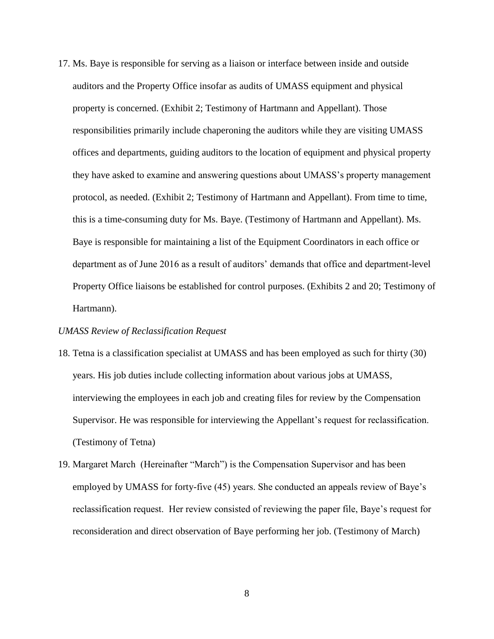17. Ms. Baye is responsible for serving as a liaison or interface between inside and outside auditors and the Property Office insofar as audits of UMASS equipment and physical property is concerned. (Exhibit 2; Testimony of Hartmann and Appellant). Those responsibilities primarily include chaperoning the auditors while they are visiting UMASS offices and departments, guiding auditors to the location of equipment and physical property they have asked to examine and answering questions about UMASS's property management protocol, as needed. (Exhibit 2; Testimony of Hartmann and Appellant). From time to time, this is a time-consuming duty for Ms. Baye. (Testimony of Hartmann and Appellant). Ms. Baye is responsible for maintaining a list of the Equipment Coordinators in each office or department as of June 2016 as a result of auditors' demands that office and department-level Property Office liaisons be established for control purposes. (Exhibits 2 and 20; Testimony of Hartmann).

## *UMASS Review of Reclassification Request*

- 18. Tetna is a classification specialist at UMASS and has been employed as such for thirty (30) years. His job duties include collecting information about various jobs at UMASS, interviewing the employees in each job and creating files for review by the Compensation Supervisor. He was responsible for interviewing the Appellant's request for reclassification. (Testimony of Tetna)
- 19. Margaret March (Hereinafter "March") is the Compensation Supervisor and has been employed by UMASS for forty-five (45) years. She conducted an appeals review of Baye's reclassification request. Her review consisted of reviewing the paper file, Baye's request for reconsideration and direct observation of Baye performing her job. (Testimony of March)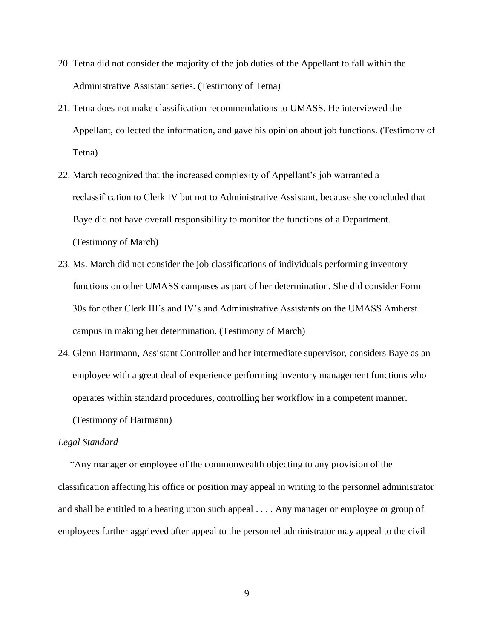- 20. Tetna did not consider the majority of the job duties of the Appellant to fall within the Administrative Assistant series. (Testimony of Tetna)
- 21. Tetna does not make classification recommendations to UMASS. He interviewed the Appellant, collected the information, and gave his opinion about job functions. (Testimony of Tetna)
- 22. March recognized that the increased complexity of Appellant's job warranted a reclassification to Clerk IV but not to Administrative Assistant, because she concluded that Baye did not have overall responsibility to monitor the functions of a Department. (Testimony of March)
- 23. Ms. March did not consider the job classifications of individuals performing inventory functions on other UMASS campuses as part of her determination. She did consider Form 30s for other Clerk III's and IV's and Administrative Assistants on the UMASS Amherst campus in making her determination. (Testimony of March)
- 24. Glenn Hartmann, Assistant Controller and her intermediate supervisor, considers Baye as an employee with a great deal of experience performing inventory management functions who operates within standard procedures, controlling her workflow in a competent manner. (Testimony of Hartmann)

# *Legal Standard*

"Any manager or employee of the commonwealth objecting to any provision of the classification affecting his office or position may appeal in writing to the personnel administrator and shall be entitled to a hearing upon such appeal . . . . Any manager or employee or group of employees further aggrieved after appeal to the personnel administrator may appeal to the civil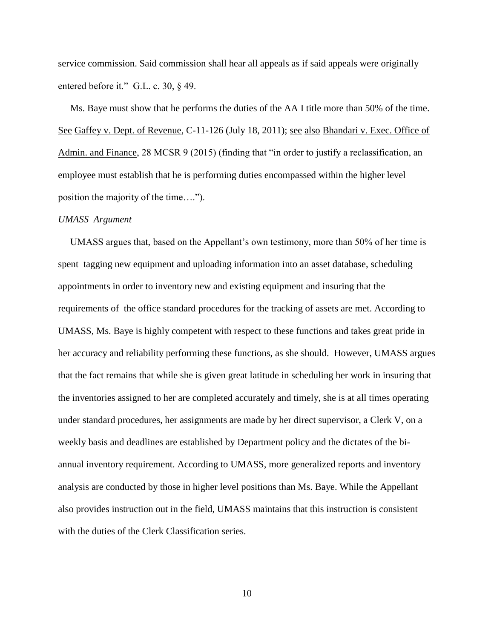service commission. Said commission shall hear all appeals as if said appeals were originally entered before it." G.L. c. 30, § 49.

 Ms. Baye must show that he performs the duties of the AA I title more than 50% of the time. See Gaffey v. Dept. of Revenue, C-11-126 (July 18, 2011); see also Bhandari v. Exec. Office of Admin. and Finance, 28 MCSR 9 (2015) (finding that "in order to justify a reclassification, an employee must establish that he is performing duties encompassed within the higher level position the majority of the time….").

#### *UMASS Argument*

 UMASS argues that, based on the Appellant's own testimony, more than 50% of her time is spent tagging new equipment and uploading information into an asset database, scheduling appointments in order to inventory new and existing equipment and insuring that the requirements of the office standard procedures for the tracking of assets are met. According to UMASS, Ms. Baye is highly competent with respect to these functions and takes great pride in her accuracy and reliability performing these functions, as she should. However, UMASS argues that the fact remains that while she is given great latitude in scheduling her work in insuring that the inventories assigned to her are completed accurately and timely, she is at all times operating under standard procedures, her assignments are made by her direct supervisor, a Clerk V, on a weekly basis and deadlines are established by Department policy and the dictates of the biannual inventory requirement. According to UMASS, more generalized reports and inventory analysis are conducted by those in higher level positions than Ms. Baye. While the Appellant also provides instruction out in the field, UMASS maintains that this instruction is consistent with the duties of the Clerk Classification series.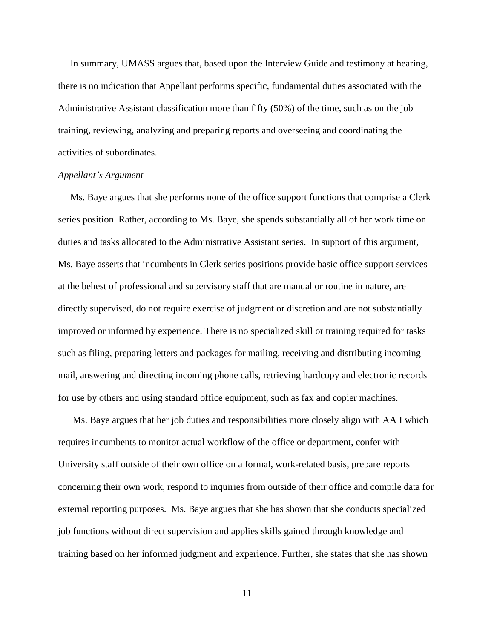In summary, UMASS argues that, based upon the Interview Guide and testimony at hearing, there is no indication that Appellant performs specific, fundamental duties associated with the Administrative Assistant classification more than fifty (50%) of the time, such as on the job training, reviewing, analyzing and preparing reports and overseeing and coordinating the activities of subordinates.

#### *Appellant's Argument*

 Ms. Baye argues that she performs none of the office support functions that comprise a Clerk series position. Rather, according to Ms. Baye, she spends substantially all of her work time on duties and tasks allocated to the Administrative Assistant series. In support of this argument, Ms. Baye asserts that incumbents in Clerk series positions provide basic office support services at the behest of professional and supervisory staff that are manual or routine in nature, are directly supervised, do not require exercise of judgment or discretion and are not substantially improved or informed by experience. There is no specialized skill or training required for tasks such as filing, preparing letters and packages for mailing, receiving and distributing incoming mail, answering and directing incoming phone calls, retrieving hardcopy and electronic records for use by others and using standard office equipment, such as fax and copier machines.

 Ms. Baye argues that her job duties and responsibilities more closely align with AA I which requires incumbents to monitor actual workflow of the office or department, confer with University staff outside of their own office on a formal, work-related basis, prepare reports concerning their own work, respond to inquiries from outside of their office and compile data for external reporting purposes. Ms. Baye argues that she has shown that she conducts specialized job functions without direct supervision and applies skills gained through knowledge and training based on her informed judgment and experience. Further, she states that she has shown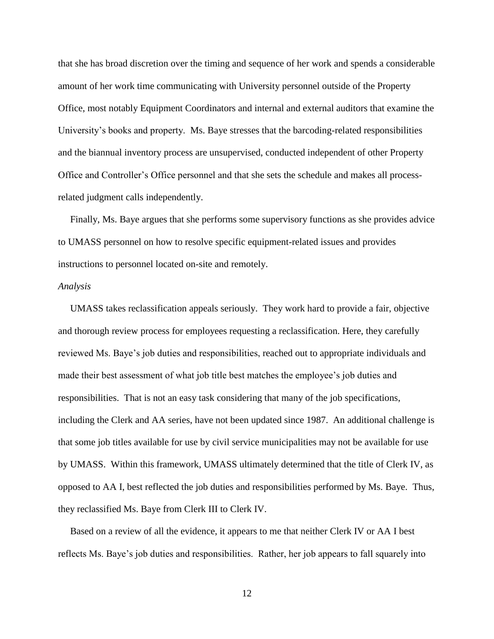that she has broad discretion over the timing and sequence of her work and spends a considerable amount of her work time communicating with University personnel outside of the Property Office, most notably Equipment Coordinators and internal and external auditors that examine the University's books and property. Ms. Baye stresses that the barcoding-related responsibilities and the biannual inventory process are unsupervised, conducted independent of other Property Office and Controller's Office personnel and that she sets the schedule and makes all processrelated judgment calls independently.

 Finally, Ms. Baye argues that she performs some supervisory functions as she provides advice to UMASS personnel on how to resolve specific equipment-related issues and provides instructions to personnel located on-site and remotely.

#### *Analysis*

 UMASS takes reclassification appeals seriously. They work hard to provide a fair, objective and thorough review process for employees requesting a reclassification. Here, they carefully reviewed Ms. Baye's job duties and responsibilities, reached out to appropriate individuals and made their best assessment of what job title best matches the employee's job duties and responsibilities. That is not an easy task considering that many of the job specifications, including the Clerk and AA series, have not been updated since 1987. An additional challenge is that some job titles available for use by civil service municipalities may not be available for use by UMASS. Within this framework, UMASS ultimately determined that the title of Clerk IV, as opposed to AA I, best reflected the job duties and responsibilities performed by Ms. Baye. Thus, they reclassified Ms. Baye from Clerk III to Clerk IV.

 Based on a review of all the evidence, it appears to me that neither Clerk IV or AA I best reflects Ms. Baye's job duties and responsibilities. Rather, her job appears to fall squarely into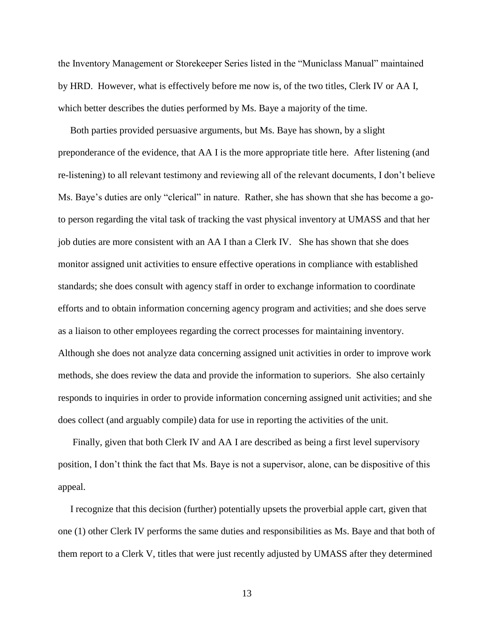the Inventory Management or Storekeeper Series listed in the "Municlass Manual" maintained by HRD. However, what is effectively before me now is, of the two titles, Clerk IV or AA I, which better describes the duties performed by Ms. Baye a majority of the time.

 Both parties provided persuasive arguments, but Ms. Baye has shown, by a slight preponderance of the evidence, that AA I is the more appropriate title here. After listening (and re-listening) to all relevant testimony and reviewing all of the relevant documents, I don't believe Ms. Baye's duties are only "clerical" in nature. Rather, she has shown that she has become a goto person regarding the vital task of tracking the vast physical inventory at UMASS and that her job duties are more consistent with an AA I than a Clerk IV. She has shown that she does monitor assigned unit activities to ensure effective operations in compliance with established standards; she does consult with agency staff in order to exchange information to coordinate efforts and to obtain information concerning agency program and activities; and she does serve as a liaison to other employees regarding the correct processes for maintaining inventory. Although she does not analyze data concerning assigned unit activities in order to improve work methods, she does review the data and provide the information to superiors. She also certainly responds to inquiries in order to provide information concerning assigned unit activities; and she does collect (and arguably compile) data for use in reporting the activities of the unit.

 Finally, given that both Clerk IV and AA I are described as being a first level supervisory position, I don't think the fact that Ms. Baye is not a supervisor, alone, can be dispositive of this appeal.

 I recognize that this decision (further) potentially upsets the proverbial apple cart, given that one (1) other Clerk IV performs the same duties and responsibilities as Ms. Baye and that both of them report to a Clerk V, titles that were just recently adjusted by UMASS after they determined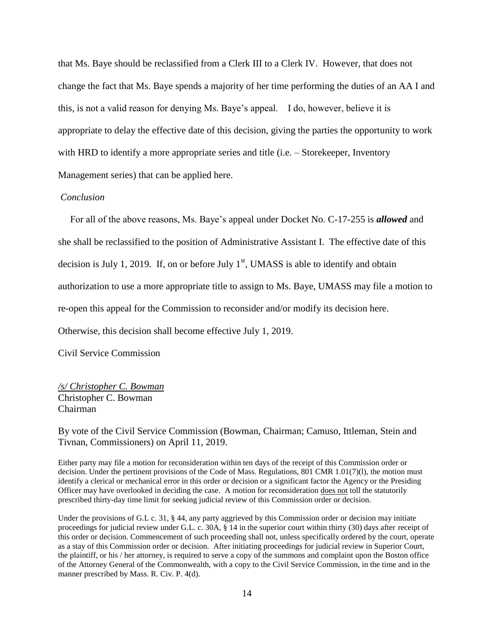that Ms. Baye should be reclassified from a Clerk III to a Clerk IV. However, that does not change the fact that Ms. Baye spends a majority of her time performing the duties of an AA I and this, is not a valid reason for denying Ms. Baye's appeal. I do, however, believe it is appropriate to delay the effective date of this decision, giving the parties the opportunity to work with HRD to identify a more appropriate series and title (i.e. – Storekeeper, Inventory Management series) that can be applied here.

# *Conclusion*

 For all of the above reasons, Ms. Baye's appeal under Docket No. C-17-255 is *allowed* and she shall be reclassified to the position of Administrative Assistant I. The effective date of this decision is July 1, 2019. If, on or before July  $1<sup>st</sup>$ , UMASS is able to identify and obtain authorization to use a more appropriate title to assign to Ms. Baye, UMASS may file a motion to re-open this appeal for the Commission to reconsider and/or modify its decision here. Otherwise, this decision shall become effective July 1, 2019.

Civil Service Commission

*/s/ Christopher C. Bowman* Christopher C. Bowman Chairman

By vote of the Civil Service Commission (Bowman, Chairman; Camuso, Ittleman, Stein and Tivnan, Commissioners) on April 11, 2019.

Either party may file a motion for reconsideration within ten days of the receipt of this Commission order or decision. Under the pertinent provisions of the Code of Mass. Regulations, 801 CMR 1.01(7)(l), the motion must identify a clerical or mechanical error in this order or decision or a significant factor the Agency or the Presiding Officer may have overlooked in deciding the case. A motion for reconsideration does not toll the statutorily prescribed thirty-day time limit for seeking judicial review of this Commission order or decision.

Under the provisions of G.L c. 31, § 44, any party aggrieved by this Commission order or decision may initiate proceedings for judicial review under G.L. c. 30A, § 14 in the superior court within thirty (30) days after receipt of this order or decision. Commencement of such proceeding shall not, unless specifically ordered by the court, operate as a stay of this Commission order or decision. After initiating proceedings for judicial review in Superior Court, the plaintiff, or his / her attorney, is required to serve a copy of the summons and complaint upon the Boston office of the Attorney General of the Commonwealth, with a copy to the Civil Service Commission, in the time and in the manner prescribed by Mass. R. Civ. P. 4(d).